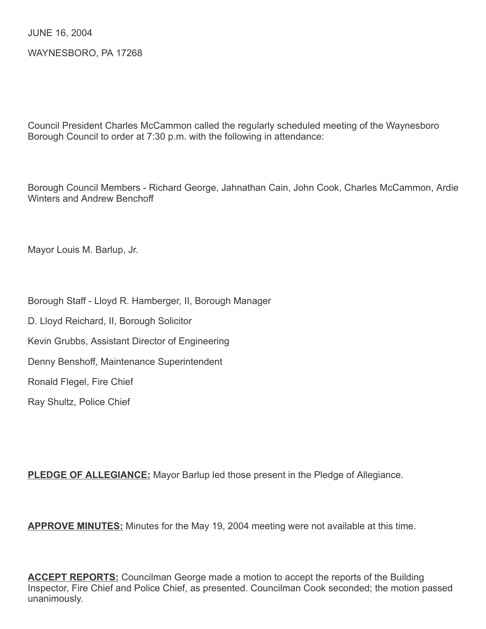JUNE 16, 2004

WAYNESBORO, PA 17268

Council President Charles McCammon called the regularly scheduled meeting of the Waynesboro Borough Council to order at 7:30 p.m. with the following in attendance:

Borough Council Members - Richard George, Jahnathan Cain, John Cook, Charles McCammon, Ardie Winters and Andrew Benchoff

Mayor Louis M. Barlup, Jr.

- Borough Staff Lloyd R. Hamberger, II, Borough Manager
- D. Lloyd Reichard, II, Borough Solicitor
- Kevin Grubbs, Assistant Director of Engineering
- Denny Benshoff, Maintenance Superintendent

Ronald Flegel, Fire Chief

Ray Shultz, Police Chief

**PLEDGE OF ALLEGIANCE:** Mayor Barlup led those present in the Pledge of Allegiance.

**APPROVE MINUTES:** Minutes for the May 19, 2004 meeting were not available at this time.

**ACCEPT REPORTS:** Councilman George made a motion to accept the reports of the Building Inspector, Fire Chief and Police Chief, as presented. Councilman Cook seconded; the motion passed unanimously.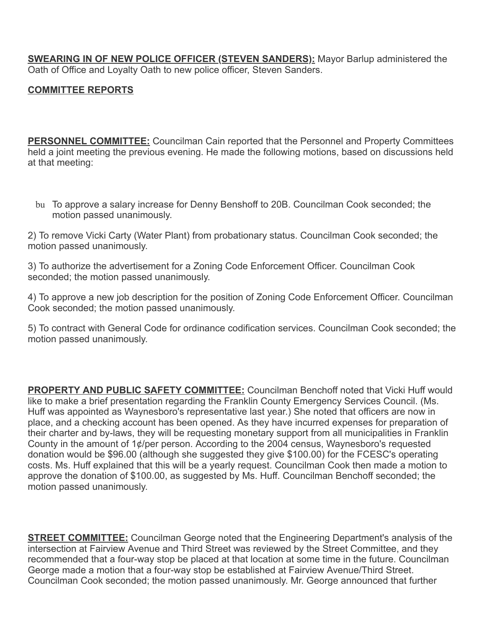**SWEARING IN OF NEW POLICE OFFICER (STEVEN SANDERS):** Mayor Barlup administered the Oath of Office and Loyalty Oath to new police officer, Steven Sanders.

### COMMITTEE REPORTS

**PERSONNEL COMMITTEE:** Councilman Cain reported that the Personnel and Property Committees held a joint meeting the previous evening. He made the following motions, based on discussions held at that meeting:

bu To approve a salary increase for Denny Benshoff to 20B. Councilman Cook seconded; the motion passed unanimously.

2) To remove Vicki Carty (Water Plant) from probationary status. Councilman Cook seconded; the motion passed unanimously.

3) To authorize the advertisement for a Zoning Code Enforcement Officer. Councilman Cook seconded; the motion passed unanimously.

4) To approve a new job description for the position of Zoning Code Enforcement Officer. Councilman Cook seconded; the motion passed unanimously.

5) To contract with General Code for ordinance codification services. Councilman Cook seconded; the motion passed unanimously.

**PROPERTY AND PUBLIC SAFETY COMMITTEE:** Councilman Benchoff noted that Vicki Huff would like to make a brief presentation regarding the Franklin County Emergency Services Council. (Ms. Huff was appointed as Waynesboro's representative last year.) She noted that officers are now in place, and a checking account has been opened. As they have incurred expenses for preparation of their charter and by-laws, they will be requesting monetary support from all municipalities in Franklin County in the amount of 1¢/per person. According to the 2004 census, Waynesboro's requested donation would be \$96.00 (although she suggested they give \$100.00) for the FCESC's operating costs. Ms. Huff explained that this will be a yearly request. Councilman Cook then made a motion to approve the donation of \$100.00, as suggested by Ms. Huff. Councilman Benchoff seconded; the motion passed unanimously.

**STREET COMMITTEE:** Councilman George noted that the Engineering Department's analysis of the intersection at Fairview Avenue and Third Street was reviewed by the Street Committee, and they recommended that a four-way stop be placed at that location at some time in the future. Councilman George made a motion that a four-way stop be established at Fairview Avenue/Third Street. Councilman Cook seconded; the motion passed unanimously. Mr. George announced that further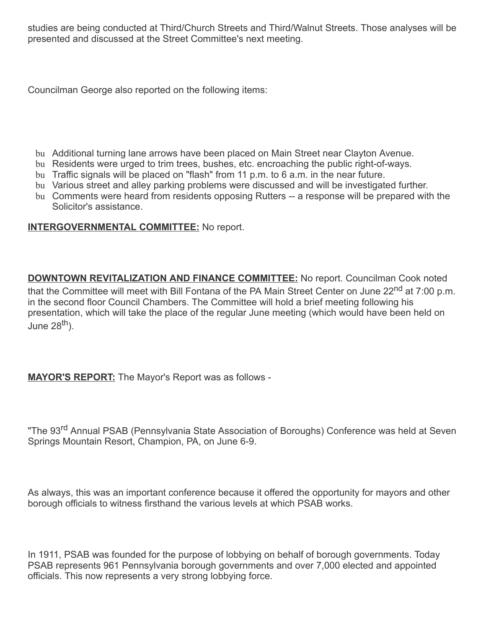studies are being conducted at Third/Church Streets and Third/Walnut Streets. Those analyses will be presented and discussed at the Street Committee's next meeting.

Councilman George also reported on the following items:

- bu Additional turning lane arrows have been placed on Main Street near Clayton Avenue.
- bu Residents were urged to trim trees, bushes, etc. encroaching the public right-of-ways.
- bu Traffic signals will be placed on "flash" from 11 p.m. to 6 a.m. in the near future.
- bu Various street and alley parking problems were discussed and will be investigated further.
- bu Comments were heard from residents opposing Rutters -- a response will be prepared with the Solicitor's assistance.

### INTERGOVERNMENTAL COMMITTEE: No report.

**DOWNTOWN REVITALIZATION AND FINANCE COMMITTEE:** No report. Councilman Cook noted that the Committee will meet with Bill Fontana of the PA Main Street Center on June 22<sup>nd</sup> at 7:00 p.m. in the second floor Council Chambers. The Committee will hold a brief meeting following his presentation, which will take the place of the regular June meeting (which would have been held on June 28<sup>th</sup>).

MAYOR'S REPORT: The Mayor's Report was as follows -

"The 93<sup>rd</sup> Annual PSAB (Pennsylvania State Association of Boroughs) Conference was held at Seven Springs Mountain Resort, Champion, PA, on June 6-9.

As always, this was an important conference because it offered the opportunity for mayors and other borough officials to witness firsthand the various levels at which PSAB works.

In 1911, PSAB was founded for the purpose of lobbying on behalf of borough governments. Today PSAB represents 961 Pennsylvania borough governments and over 7,000 elected and appointed officials. This now represents a very strong lobbying force.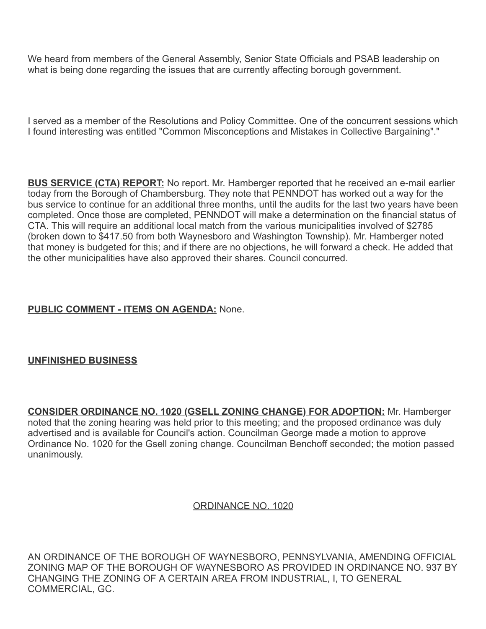We heard from members of the General Assembly, Senior State Officials and PSAB leadership on what is being done regarding the issues that are currently affecting borough government.

I served as a member of the Resolutions and Policy Committee. One of the concurrent sessions which I found interesting was entitled "Common Misconceptions and Mistakes in Collective Bargaining"."

**BUS SERVICE (CTA) REPORT:** No report. Mr. Hamberger reported that he received an e-mail earlier today from the Borough of Chambersburg. They note that PENNDOT has worked out a way for the bus service to continue for an additional three months, until the audits for the last two years have been completed. Once those are completed, PENNDOT will make a determination on the financial status of CTA. This will require an additional local match from the various municipalities involved of \$2785 (broken down to \$417.50 from both Waynesboro and Washington Township). Mr. Hamberger noted that money is budgeted for this; and if there are no objections, he will forward a check. He added that the other municipalities have also approved their shares. Council concurred.

### PUBLIC COMMENT - ITEMS ON AGENDA: None.

### UNFINISHED BUSINESS

CONSIDER ORDINANCE NO. 1020 (GSELL ZONING CHANGE) FOR ADOPTION: Mr. Hamberger noted that the zoning hearing was held prior to this meeting; and the proposed ordinance was duly advertised and is available for Council's action. Councilman George made a motion to approve Ordinance No. 1020 for the Gsell zoning change. Councilman Benchoff seconded; the motion passed unanimously.

#### ORDINANCE NO. 1020

AN ORDINANCE OF THE BOROUGH OF WAYNESBORO, PENNSYLVANIA, AMENDING OFFICIAL ZONING MAP OF THE BOROUGH OF WAYNESBORO AS PROVIDED IN ORDINANCE NO. 937 BY CHANGING THE ZONING OF A CERTAIN AREA FROM INDUSTRIAL, I, TO GENERAL COMMERCIAL, GC.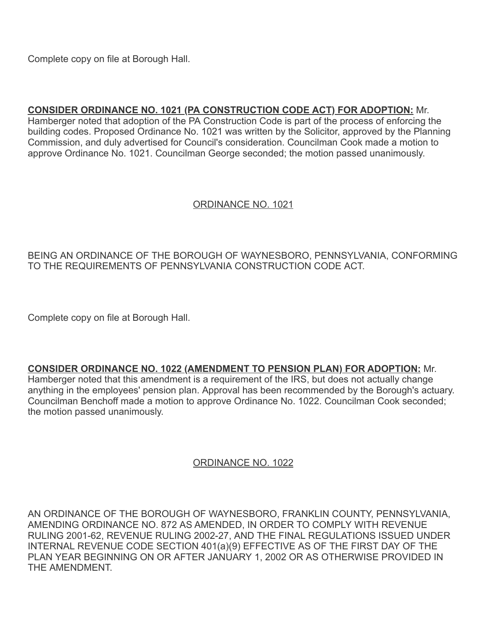Complete copy on file at Borough Hall.

## CONSIDER ORDINANCE NO. 1021 (PA CONSTRUCTION CODE ACT) FOR ADOPTION: Mr.

Hamberger noted that adoption of the PA Construction Code is part of the process of enforcing the building codes. Proposed Ordinance No. 1021 was written by the Solicitor, approved by the Planning Commission, and duly advertised for Council's consideration. Councilman Cook made a motion to approve Ordinance No. 1021. Councilman George seconded; the motion passed unanimously.

### ORDINANCE NO. 1021

### BEING AN ORDINANCE OF THE BOROUGH OF WAYNESBORO, PENNSYLVANIA, CONFORMING TO THE REQUIREMENTS OF PENNSYLVANIA CONSTRUCTION CODE ACT.

Complete copy on file at Borough Hall.

CONSIDER ORDINANCE NO. 1022 (AMENDMENT TO PENSION PLAN) FOR ADOPTION: Mr.

Hamberger noted that this amendment is a requirement of the IRS, but does not actually change anything in the employees' pension plan. Approval has been recommended by the Borough's actuary. Councilman Benchoff made a motion to approve Ordinance No. 1022. Councilman Cook seconded; the motion passed unanimously.

### ORDINANCE NO. 1022

AN ORDINANCE OF THE BOROUGH OF WAYNESBORO, FRANKLIN COUNTY, PENNSYLVANIA, AMENDING ORDINANCE NO. 872 AS AMENDED, IN ORDER TO COMPLY WITH REVENUE RULING 2001-62, REVENUE RULING 2002-27, AND THE FINAL REGULATIONS ISSUED UNDER INTERNAL REVENUE CODE SECTION 401(a)(9) EFFECTIVE AS OF THE FIRST DAY OF THE PLAN YEAR BEGINNING ON OR AFTER JANUARY 1, 2002 OR AS OTHERWISE PROVIDED IN THE AMENDMENT.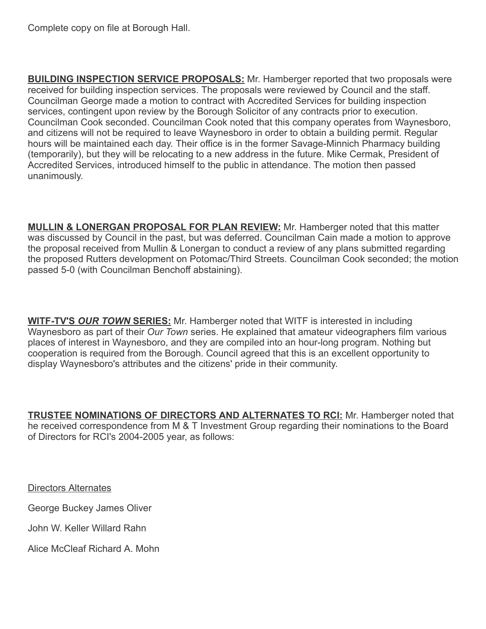Complete copy on file at Borough Hall.

**BUILDING INSPECTION SERVICE PROPOSALS:** Mr. Hamberger reported that two proposals were received for building inspection services. The proposals were reviewed by Council and the staff. Councilman George made a motion to contract with Accredited Services for building inspection services, contingent upon review by the Borough Solicitor of any contracts prior to execution. Councilman Cook seconded. Councilman Cook noted that this company operates from Waynesboro, and citizens will not be required to leave Waynesboro in order to obtain a building permit. Regular hours will be maintained each day. Their office is in the former Savage-Minnich Pharmacy building (temporarily), but they will be relocating to a new address in the future. Mike Cermak, President of Accredited Services, introduced himself to the public in attendance. The motion then passed unanimously.

**MULLIN & LONERGAN PROPOSAL FOR PLAN REVIEW:** Mr. Hamberger noted that this matter was discussed by Council in the past, but was deferred. Councilman Cain made a motion to approve the proposal received from Mullin & Lonergan to conduct a review of any plans submitted regarding the proposed Rutters development on Potomac/Third Streets. Councilman Cook seconded; the motion passed 5-0 (with Councilman Benchoff abstaining).

**WITF-TV'S OUR TOWN SERIES:** Mr. Hamberger noted that WITF is interested in including Waynesboro as part of their Our Town series. He explained that amateur videographers film various places of interest in Waynesboro, and they are compiled into an hour-long program. Nothing but cooperation is required from the Borough. Council agreed that this is an excellent opportunity to display Waynesboro's attributes and the citizens' pride in their community.

TRUSTEE NOMINATIONS OF DIRECTORS AND ALTERNATES TO RCI: Mr. Hamberger noted that he received correspondence from M & T Investment Group regarding their nominations to the Board of Directors for RCI's 2004-2005 year, as follows:

Directors Alternates

George Buckey James Oliver

John W. Keller Willard Rahn

Alice McCleaf Richard A. Mohn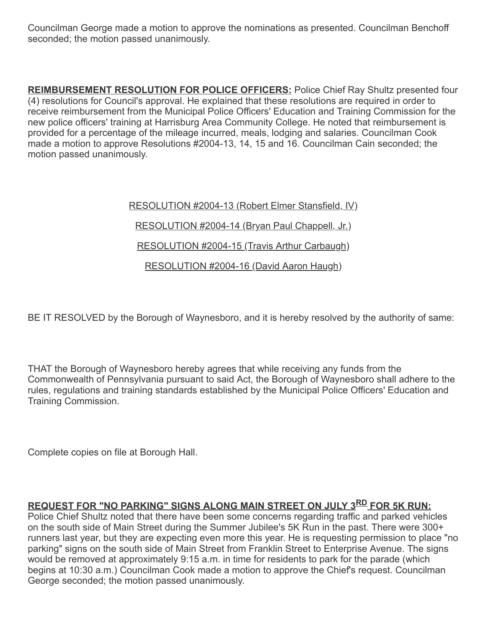Councilman George made a motion to approve the nominations as presented. Councilman Benchoff seconded; the motion passed unanimously.

**REIMBURSEMENT RESOLUTION FOR POLICE OFFICERS:** Police Chief Ray Shultz presented four (4) resolutions for Council's approval. He explained that these resolutions are required in order to receive reimbursement from the Municipal Police Officers' Education and Training Commission for the new police officers' training at Harrisburg Area Community College. He noted that reimbursement is provided for a percentage of the mileage incurred, meals, lodging and salaries. Councilman Cook made a motion to approve Resolutions #2004-13, 14, 15 and 16. Councilman Cain seconded; the motion passed unanimously.

> RESOLUTION #2004-13 (Robert Elmer Stansfield, IV) RESOLUTION #2004-14 (Bryan Paul Chappell, Jr.) RESOLUTION #2004-15 (Travis Arthur Carbaugh) RESOLUTION #2004-16 (David Aaron Haugh)

BE IT RESOLVED by the Borough of Waynesboro, and it is hereby resolved by the authority of same:

THAT the Borough of Waynesboro hereby agrees that while receiving any funds from the Commonwealth of Pennsylvania pursuant to said Act, the Borough of Waynesboro shall adhere to the rules, regulations and training standards established by the Municipal Police Officers' Education and Training Commission.

Complete copies on file at Borough Hall.

# REQUEST FOR "NO PARKING" SIGNS ALONG MAIN STREET ON JULY 3RD FOR 5K RUN:

Police Chief Shultz noted that there have been some concerns regarding traffic and parked vehicles on the south side of Main Street during the Summer Jubilee's 5K Run in the past. There were 300+ runners last year, but they are expecting even more this year. He is requesting permission to place "no parking" signs on the south side of Main Street from Franklin Street to Enterprise Avenue. The signs would be removed at approximately 9:15 a.m. in time for residents to park for the parade (which begins at 10:30 a.m.) Councilman Cook made a motion to approve the Chief's request. Councilman George seconded; the motion passed unanimously.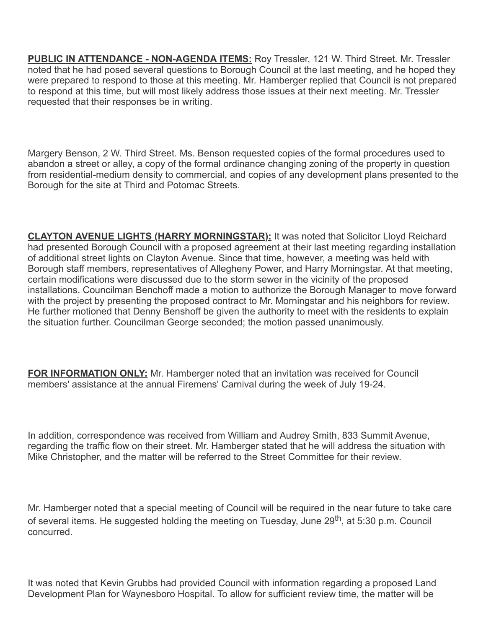PUBLIC IN ATTENDANCE - NON-AGENDA ITEMS: Roy Tressler, 121 W. Third Street. Mr. Tressler noted that he had posed several questions to Borough Council at the last meeting, and he hoped they were prepared to respond to those at this meeting. Mr. Hamberger replied that Council is not prepared to respond at this time, but will most likely address those issues at their next meeting. Mr. Tressler requested that their responses be in writing.

Margery Benson, 2 W. Third Street. Ms. Benson requested copies of the formal procedures used to abandon a street or alley, a copy of the formal ordinance changing zoning of the property in question from residential-medium density to commercial, and copies of any development plans presented to the Borough for the site at Third and Potomac Streets.

**CLAYTON AVENUE LIGHTS (HARRY MORNINGSTAR):** It was noted that Solicitor Lloyd Reichard had presented Borough Council with a proposed agreement at their last meeting regarding installation of additional street lights on Clayton Avenue. Since that time, however, a meeting was held with Borough staff members, representatives of Allegheny Power, and Harry Morningstar. At that meeting, certain modifications were discussed due to the storm sewer in the vicinity of the proposed installations. Councilman Benchoff made a motion to authorize the Borough Manager to move forward with the project by presenting the proposed contract to Mr. Morningstar and his neighbors for review. He further motioned that Denny Benshoff be given the authority to meet with the residents to explain the situation further. Councilman George seconded; the motion passed unanimously.

**FOR INFORMATION ONLY:** Mr. Hamberger noted that an invitation was received for Council members' assistance at the annual Firemens' Carnival during the week of July 19-24.

In addition, correspondence was received from William and Audrey Smith, 833 Summit Avenue, regarding the traffic flow on their street. Mr. Hamberger stated that he will address the situation with Mike Christopher, and the matter will be referred to the Street Committee for their review.

Mr. Hamberger noted that a special meeting of Council will be required in the near future to take care of several items. He suggested holding the meeting on Tuesday, June 29<sup>th</sup>, at 5:30 p.m. Council concurred.

It was noted that Kevin Grubbs had provided Council with information regarding a proposed Land Development Plan for Waynesboro Hospital. To allow for sufficient review time, the matter will be